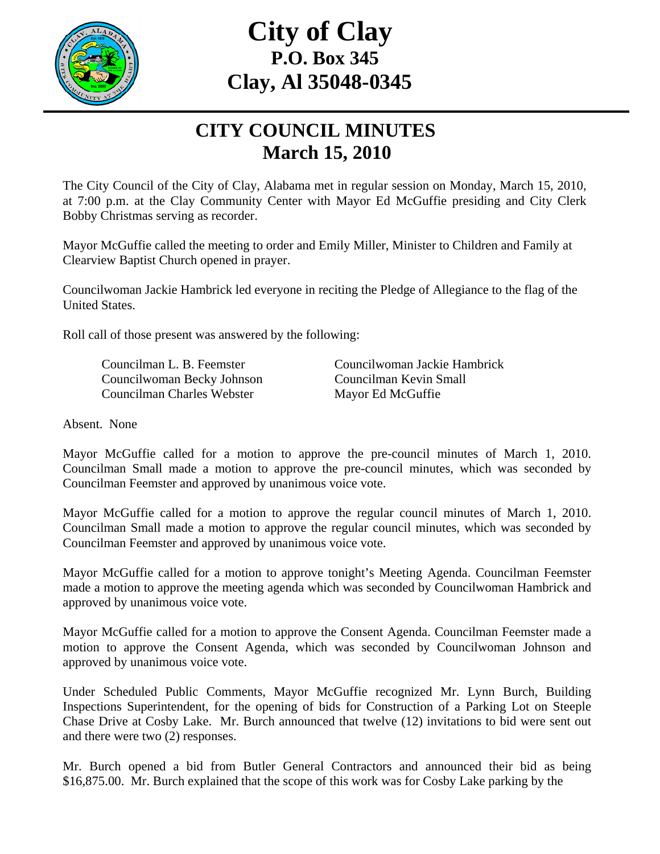

## **City of Clay P.O. Box 345 Clay, Al 35048-0345**

## **CITY COUNCIL MINUTES March 15, 2010**

The City Council of the City of Clay, Alabama met in regular session on Monday, March 15, 2010, at 7:00 p.m. at the Clay Community Center with Mayor Ed McGuffie presiding and City Clerk Bobby Christmas serving as recorder.

Mayor McGuffie called the meeting to order and Emily Miller, Minister to Children and Family at Clearview Baptist Church opened in prayer.

Councilwoman Jackie Hambrick led everyone in reciting the Pledge of Allegiance to the flag of the United States.

Roll call of those present was answered by the following:

 Councilwoman Becky Johnson Councilman Kevin Small Councilman Charles Webster Mayor Ed McGuffie

Councilman L. B. Feemster Councilwoman Jackie Hambrick

Absent. None

Mayor McGuffie called for a motion to approve the pre-council minutes of March 1, 2010. Councilman Small made a motion to approve the pre-council minutes, which was seconded by Councilman Feemster and approved by unanimous voice vote.

Mayor McGuffie called for a motion to approve the regular council minutes of March 1, 2010. Councilman Small made a motion to approve the regular council minutes, which was seconded by Councilman Feemster and approved by unanimous voice vote.

Mayor McGuffie called for a motion to approve tonight's Meeting Agenda. Councilman Feemster made a motion to approve the meeting agenda which was seconded by Councilwoman Hambrick and approved by unanimous voice vote.

Mayor McGuffie called for a motion to approve the Consent Agenda. Councilman Feemster made a motion to approve the Consent Agenda, which was seconded by Councilwoman Johnson and approved by unanimous voice vote.

Under Scheduled Public Comments, Mayor McGuffie recognized Mr. Lynn Burch, Building Inspections Superintendent, for the opening of bids for Construction of a Parking Lot on Steeple Chase Drive at Cosby Lake. Mr. Burch announced that twelve (12) invitations to bid were sent out and there were two (2) responses.

Mr. Burch opened a bid from Butler General Contractors and announced their bid as being \$16,875.00. Mr. Burch explained that the scope of this work was for Cosby Lake parking by the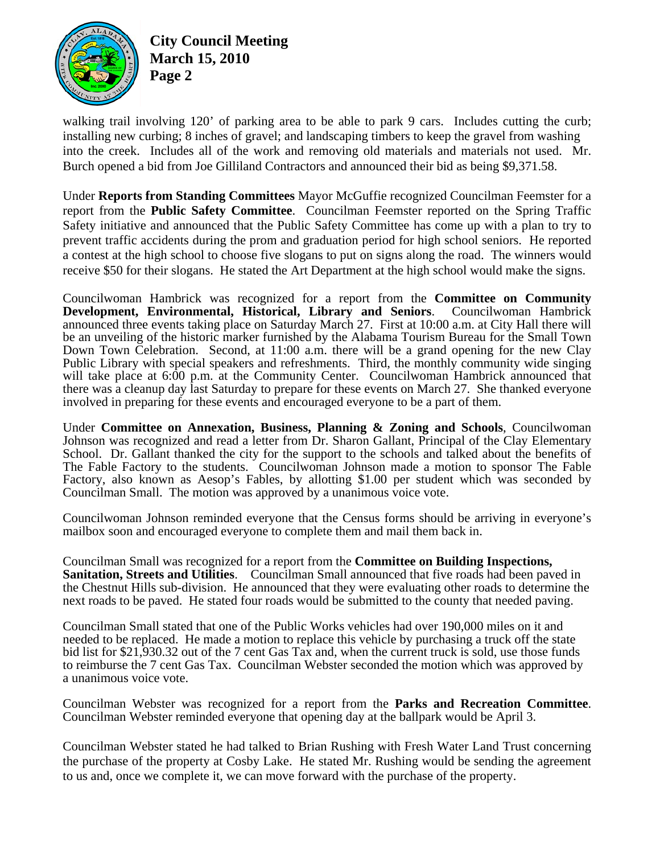

**City Council Meeting March 15, 2010 Page 2** 

walking trail involving 120' of parking area to be able to park 9 cars. Includes cutting the curb; installing new curbing; 8 inches of gravel; and landscaping timbers to keep the gravel from washing into the creek. Includes all of the work and removing old materials and materials not used. Mr. Burch opened a bid from Joe Gilliland Contractors and announced their bid as being \$9,371.58.

Under **Reports from Standing Committees** Mayor McGuffie recognized Councilman Feemster for a report from the **Public Safety Committee**. Councilman Feemster reported on the Spring Traffic Safety initiative and announced that the Public Safety Committee has come up with a plan to try to prevent traffic accidents during the prom and graduation period for high school seniors. He reported a contest at the high school to choose five slogans to put on signs along the road. The winners would receive \$50 for their slogans. He stated the Art Department at the high school would make the signs.

Councilwoman Hambrick was recognized for a report from the **Committee on Community Development, Environmental, Historical, Library and Seniors**. Councilwoman Hambrick announced three events taking place on Saturday March 27. First at 10:00 a.m. at City Hall there will be an unveiling of the historic marker furnished by the Alabama Tourism Bureau for the Small Town Down Town Celebration. Second, at 11:00 a.m. there will be a grand opening for the new Clay Public Library with special speakers and refreshments. Third, the monthly community wide singing will take place at 6:00 p.m. at the Community Center. Councilwoman Hambrick announced that there was a cleanup day last Saturday to prepare for these events on March 27. She thanked everyone involved in preparing for these events and encouraged everyone to be a part of them.

Under **Committee on Annexation, Business, Planning & Zoning and Schools**, Councilwoman Johnson was recognized and read a letter from Dr. Sharon Gallant, Principal of the Clay Elementary School. Dr. Gallant thanked the city for the support to the schools and talked about the benefits of The Fable Factory to the students. Councilwoman Johnson made a motion to sponsor The Fable Factory, also known as Aesop's Fables, by allotting \$1.00 per student which was seconded by Councilman Small. The motion was approved by a unanimous voice vote.

Councilwoman Johnson reminded everyone that the Census forms should be arriving in everyone's mailbox soon and encouraged everyone to complete them and mail them back in.

Councilman Small was recognized for a report from the **Committee on Building Inspections, Sanitation, Streets and Utilities**. Councilman Small announced that five roads had been paved in the Chestnut Hills sub-division. He announced that they were evaluating other roads to determine the next roads to be paved. He stated four roads would be submitted to the county that needed paving.

Councilman Small stated that one of the Public Works vehicles had over 190,000 miles on it and needed to be replaced. He made a motion to replace this vehicle by purchasing a truck off the state bid list for \$21,930.32 out of the 7 cent Gas Tax and, when the current truck is sold, use those funds to reimburse the 7 cent Gas Tax. Councilman Webster seconded the motion which was approved by a unanimous voice vote.

Councilman Webster was recognized for a report from the **Parks and Recreation Committee**. Councilman Webster reminded everyone that opening day at the ballpark would be April 3.

Councilman Webster stated he had talked to Brian Rushing with Fresh Water Land Trust concerning the purchase of the property at Cosby Lake. He stated Mr. Rushing would be sending the agreement to us and, once we complete it, we can move forward with the purchase of the property.